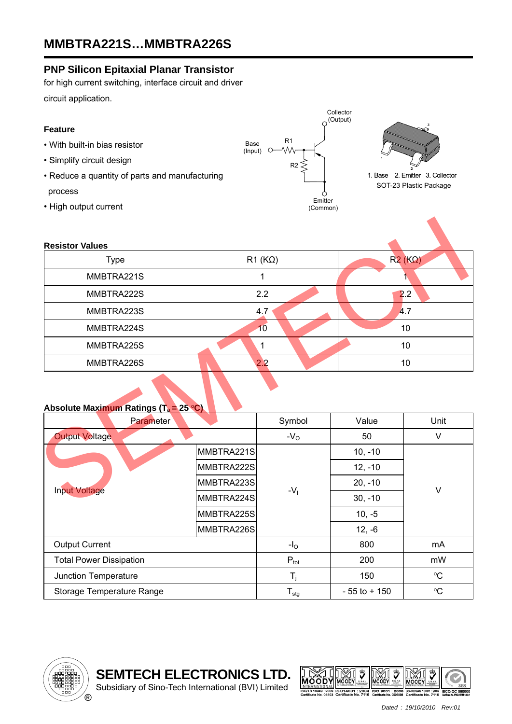### **PNP Silicon Epitaxial Planar Transistor**

for high current switching, interface circuit and driver circuit application.

### **Feature**

- With built-in bias resistor
- Simplify circuit design
- Reduce a quantity of parts and manufacturing

### process

• High output current



Collector



1. Base 2. Emitter 3. Collector SOT-23 Plastic Package

| <b>Resistor Values</b>                            |            |                |               |        |  |  |  |  |  |
|---------------------------------------------------|------------|----------------|---------------|--------|--|--|--|--|--|
| <b>Type</b>                                       |            | $R1 (K\Omega)$ | $R2(K\Omega)$ |        |  |  |  |  |  |
| MMBTRA221S                                        |            | 1              |               |        |  |  |  |  |  |
| MMBTRA222S                                        |            | 2.2            | 2.2           |        |  |  |  |  |  |
| MMBTRA223S                                        |            | 4.7            | A.7           |        |  |  |  |  |  |
| MMBTRA224S                                        |            | 10             | 10            |        |  |  |  |  |  |
| MMBTRA225S                                        |            | $\mathbf{1}$   | 10            |        |  |  |  |  |  |
| MMBTRA226S                                        |            | 2.2            | 10            |        |  |  |  |  |  |
| Absolute Maximum Ratings (T <sub>a</sub> = 25 °C) |            |                |               |        |  |  |  |  |  |
| <b>Parameter</b>                                  |            | Symbol         | Value         | Unit   |  |  |  |  |  |
| <b>Output Voltage</b>                             |            | $-VO$          | 50            | $\vee$ |  |  |  |  |  |
| <b>Input Voltage</b>                              | MMBTRA221S |                | $10, -10$     |        |  |  |  |  |  |
|                                                   | MMBTRA222S | $-V1$          | $12, -10$     |        |  |  |  |  |  |
|                                                   | MMBTRA223S |                | $20, -10$     | $\vee$ |  |  |  |  |  |
|                                                   | MMBTRA224S |                | $30, -10$     |        |  |  |  |  |  |

#### **Absolute Maximum Ratings (Ta = 25 °C)**

| Parameter                      |            | Symbol                     | Value           | Unit            |
|--------------------------------|------------|----------------------------|-----------------|-----------------|
| <b>Output Voltage</b>          |            | $-VO$                      | 50              | ٧               |
| <b>Input Voltage</b>           | MMBTRA221S | $-V1$                      | $10, -10$       | V               |
|                                | MMBTRA222S |                            | $12, -10$       |                 |
|                                | MMBTRA223S |                            | $20, -10$       |                 |
|                                | MMBTRA224S |                            | $30, -10$       |                 |
|                                | MMBTRA225S |                            | $10, -5$        |                 |
|                                | MMBTRA226S |                            | $12, -6$        |                 |
| <b>Output Current</b>          |            | $-IO$                      | 800             | mA              |
| <b>Total Power Dissipation</b> |            | $P_{\text{tot}}$           | 200             | mW              |
| Junction Temperature           |            | $T_i$                      | 150             | $\rm ^{\circ}C$ |
| Storage Temperature Range      |            | ${\mathsf T}_{\text{stg}}$ | $-55$ to $+150$ | $\rm ^{\circ}C$ |

Subsidiary of Sino-Tech International (BVI) Limited



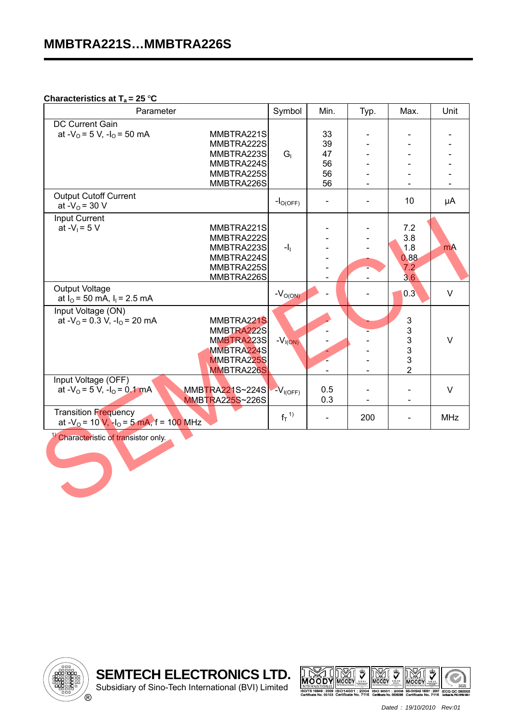#### **Characteristics at T<sub>a</sub> = 25 °C**

| Parameter                                                                                                                                        | Symbol         | Min.                             | Typ.                     | Max.                                                              | Unit       |
|--------------------------------------------------------------------------------------------------------------------------------------------------|----------------|----------------------------------|--------------------------|-------------------------------------------------------------------|------------|
| DC Current Gain<br>at - $V_0$ = 5 V, -l <sub>0</sub> = 50 mA<br>MMBTRA221S<br>MMBTRA222S<br>MMBTRA223S<br>MMBTRA224S<br>MMBTRA225S<br>MMBTRA226S | G <sub>1</sub> | 33<br>39<br>47<br>56<br>56<br>56 |                          |                                                                   |            |
| <b>Output Cutoff Current</b><br>at - $V_0$ = 30 V                                                                                                | $-IO(OFF)$     |                                  |                          | 10                                                                | μA         |
| Input Current<br>at $-V_1 = 5 V$<br>MMBTRA221S<br>MMBTRA222S<br>MMBTRA223S<br>MMBTRA224S<br>MMBTRA225S<br>MMBTRA226S                             | $-11$          |                                  | $\overline{\phantom{0}}$ | 7.2<br>3.8<br>1.8<br>0.88<br>7.2<br>3,6                           | <b>mA</b>  |
| <b>Output Voltage</b><br>at $I_0$ = 50 mA, $I_1$ = 2.5 mA                                                                                        | $-VO(ON)$      | $\overline{a}$                   |                          | 0.3                                                               | $\vee$     |
| Input Voltage (ON)<br>at $-V_0$ = 0.3 V, $-I_0$ = 20 mA<br>MMBTRA221S<br>MMBTRA222S<br>MMBTRA223S<br>MMBTRA224S<br>MMBTRA225S<br>MMBTRA226S      | $-VI(ON)$      |                                  | $\overline{\phantom{a}}$ | 3<br>$\mathfrak{S}$<br>$\mathfrak{S}$<br>3<br>3<br>$\overline{2}$ | $\vee$     |
| Input Voltage (OFF)<br>at - $V_0$ = 5 V, -l <sub>0</sub> = 0.1 mA<br>MMBTRA221S~224S<br><b>MMBTRA225S~226S</b>                                   | $-VI(OFF)$     | 0.5<br>0.3                       |                          |                                                                   | $\vee$     |
| <b>Transition Frequency</b><br>at - $V_0$ = 10 V, - $I_0$ = 5 mA, f = 100 MHz                                                                    | $f_T^{1}$      | $\blacksquare$                   | 200                      |                                                                   | <b>MHz</b> |
| <sup>1)</sup> Characteristic of transistor only.                                                                                                 |                |                                  |                          |                                                                   |            |



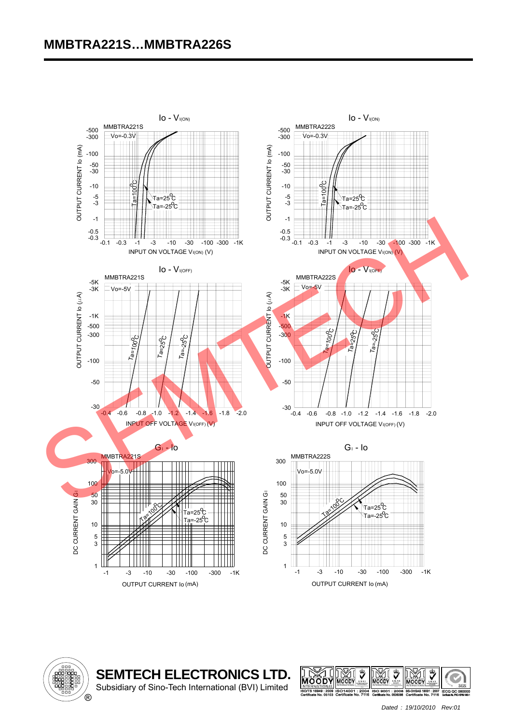# **MMBTRA221S…MMBTRA226S**





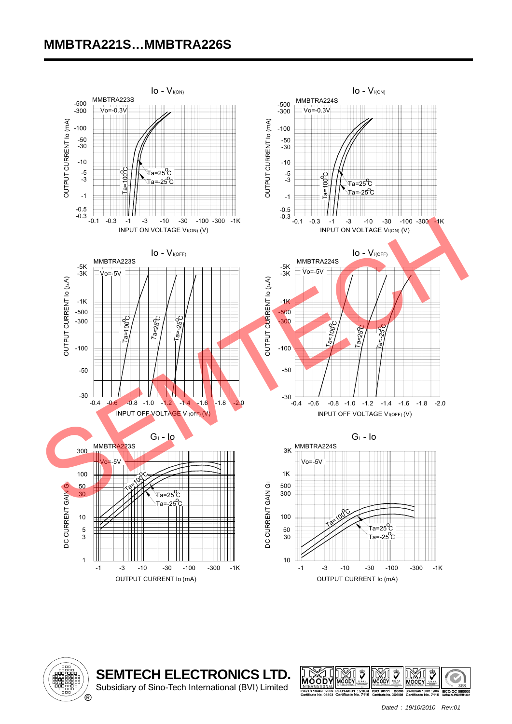# **MMBTRA221S…MMBTRA226S**





 $\overline{\phantom{a}}$